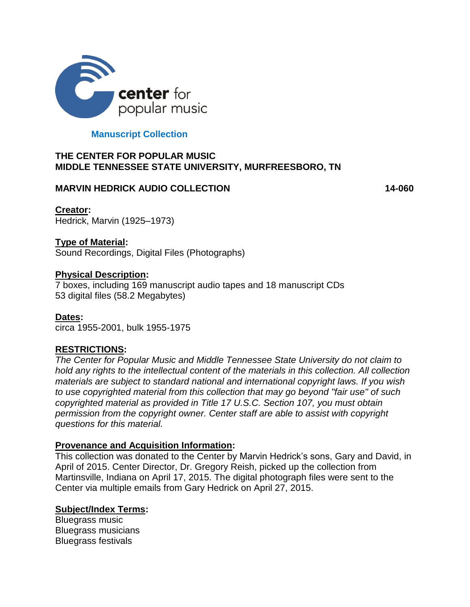

## **Manuscript Collection**

## **THE CENTER FOR POPULAR MUSIC MIDDLE TENNESSEE STATE UNIVERSITY, MURFREESBORO, TN**

## **MARVIN HEDRICK AUDIO COLLECTION 14-060**

**Creator:** Hedrick, Marvin (1925–1973)

## **Type of Material:**

Sound Recordings, Digital Files (Photographs)

## **Physical Description:**

7 boxes, including 169 manuscript audio tapes and 18 manuscript CDs 53 digital files (58.2 Megabytes)

**Dates:** circa 1955-2001, bulk 1955-1975

# **RESTRICTIONS:**

*The Center for Popular Music and Middle Tennessee State University do not claim to hold any rights to the intellectual content of the materials in this collection. All collection materials are subject to standard national and international copyright laws. If you wish to use copyrighted material from this collection that may go beyond "fair use" of such copyrighted material as provided in Title 17 U.S.C. Section 107, you must obtain permission from the copyright owner. Center staff are able to assist with copyright questions for this material.*

## **Provenance and Acquisition Information:**

This collection was donated to the Center by Marvin Hedrick's sons, Gary and David, in April of 2015. Center Director, Dr. Gregory Reish, picked up the collection from Martinsville, Indiana on April 17, 2015. The digital photograph files were sent to the Center via multiple emails from Gary Hedrick on April 27, 2015.

# **Subject/Index Terms:**

Bluegrass music Bluegrass musicians Bluegrass festivals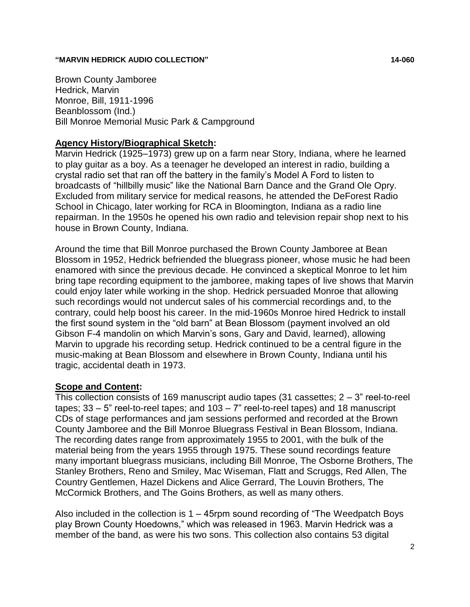#### **"MARVIN HEDRICK AUDIO COLLECTION" 14-060**

Brown County Jamboree Hedrick, Marvin Monroe, Bill, 1911-1996 Beanblossom (Ind.) Bill Monroe Memorial Music Park & Campground

### **Agency History/Biographical Sketch:**

Marvin Hedrick (1925–1973) grew up on a farm near Story, Indiana, where he learned to play guitar as a boy. As a teenager he developed an interest in radio, building a crystal radio set that ran off the battery in the family's Model A Ford to listen to broadcasts of "hillbilly music" like the National Barn Dance and the Grand Ole Opry. Excluded from military service for medical reasons, he attended the DeForest Radio School in Chicago, later working for RCA in Bloomington, Indiana as a radio line repairman. In the 1950s he opened his own radio and television repair shop next to his house in Brown County, Indiana.

Around the time that Bill Monroe purchased the Brown County Jamboree at Bean Blossom in 1952, Hedrick befriended the bluegrass pioneer, whose music he had been enamored with since the previous decade. He convinced a skeptical Monroe to let him bring tape recording equipment to the jamboree, making tapes of live shows that Marvin could enjoy later while working in the shop. Hedrick persuaded Monroe that allowing such recordings would not undercut sales of his commercial recordings and, to the contrary, could help boost his career. In the mid-1960s Monroe hired Hedrick to install the first sound system in the "old barn" at Bean Blossom (payment involved an old Gibson F-4 mandolin on which Marvin's sons, Gary and David, learned), allowing Marvin to upgrade his recording setup. Hedrick continued to be a central figure in the music-making at Bean Blossom and elsewhere in Brown County, Indiana until his tragic, accidental death in 1973.

## **Scope and Content:**

This collection consists of 169 manuscript audio tapes (31 cassettes; 2 – 3" reel-to-reel tapes;  $33 - 5$ " reel-to-reel tapes; and  $103 - 7$ " reel-to-reel tapes) and 18 manuscript CDs of stage performances and jam sessions performed and recorded at the Brown County Jamboree and the Bill Monroe Bluegrass Festival in Bean Blossom, Indiana. The recording dates range from approximately 1955 to 2001, with the bulk of the material being from the years 1955 through 1975. These sound recordings feature many important bluegrass musicians, including Bill Monroe, The Osborne Brothers, The Stanley Brothers, Reno and Smiley, Mac Wiseman, Flatt and Scruggs, Red Allen, The Country Gentlemen, Hazel Dickens and Alice Gerrard, The Louvin Brothers, The McCormick Brothers, and The Goins Brothers, as well as many others.

Also included in the collection is 1 – 45rpm sound recording of "The Weedpatch Boys play Brown County Hoedowns," which was released in 1963. Marvin Hedrick was a member of the band, as were his two sons. This collection also contains 53 digital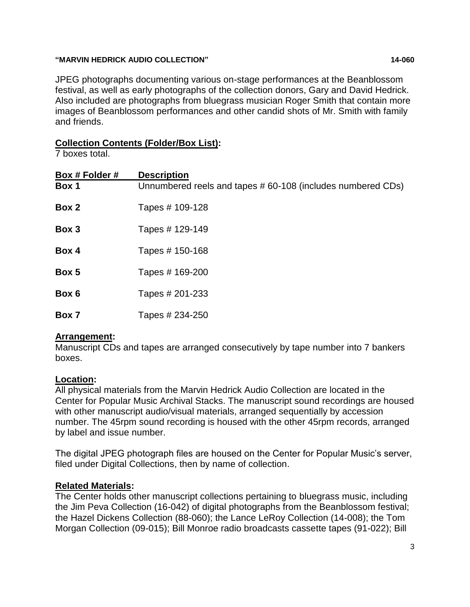#### **"MARVIN HEDRICK AUDIO COLLECTION" 14-060**

JPEG photographs documenting various on-stage performances at the Beanblossom festival, as well as early photographs of the collection donors, Gary and David Hedrick. Also included are photographs from bluegrass musician Roger Smith that contain more images of Beanblossom performances and other candid shots of Mr. Smith with family and friends.

## **Collection Contents (Folder/Box List):**

7 boxes total.

| Box # Folder # | <b>Description</b>                                          |
|----------------|-------------------------------------------------------------|
| Box 1          | Unnumbered reels and tapes # 60-108 (includes numbered CDs) |
| Box 2          | Tapes # 109-128                                             |
| Box 3          | Tapes # 129-149                                             |
| Box 4          | Tapes # 150-168                                             |
| Box 5          | Tapes # 169-200                                             |
| Box 6          | Tapes # 201-233                                             |
| Box 7          | Tapes # 234-250                                             |

## **Arrangement:**

Manuscript CDs and tapes are arranged consecutively by tape number into 7 bankers boxes.

## **Location:**

All physical materials from the Marvin Hedrick Audio Collection are located in the Center for Popular Music Archival Stacks. The manuscript sound recordings are housed with other manuscript audio/visual materials, arranged sequentially by accession number. The 45rpm sound recording is housed with the other 45rpm records, arranged by label and issue number.

The digital JPEG photograph files are housed on the Center for Popular Music's server, filed under Digital Collections, then by name of collection.

## **Related Materials:**

The Center holds other manuscript collections pertaining to bluegrass music, including the Jim Peva Collection (16-042) of digital photographs from the Beanblossom festival; the Hazel Dickens Collection (88-060); the Lance LeRoy Collection (14-008); the Tom Morgan Collection (09-015); Bill Monroe radio broadcasts cassette tapes (91-022); Bill